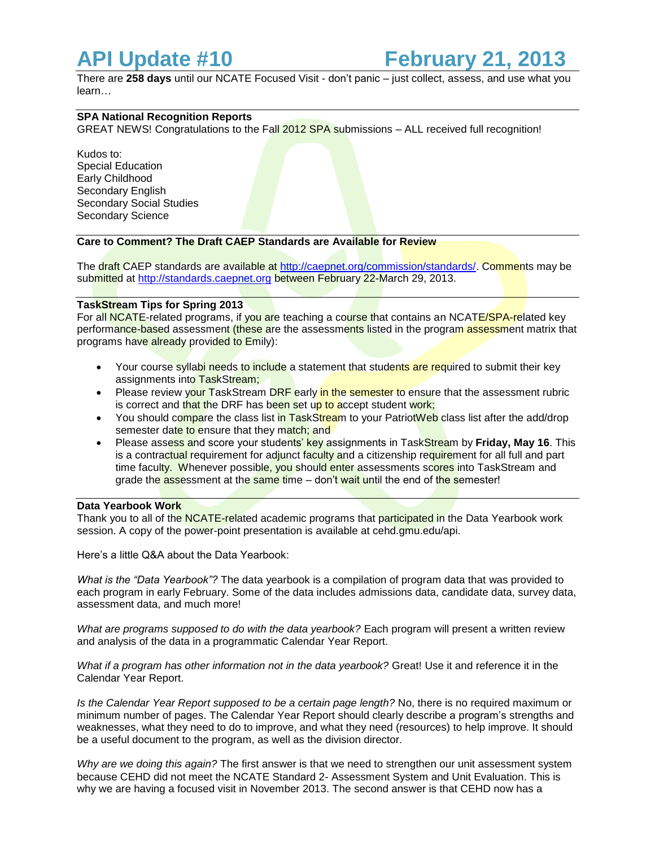There are **258 days** until our NCATE Focused Visit - don't panic – just collect, assess, and use what you learn…

# **SPA National Recognition Reports**

GREAT NEWS! Congratulations to the Fall 2012 SPA submissions - ALL received full recognition!

Kudos to: Special Education Early Childhood Secondary English Secondary Social Studies Secondary Science

# **Care to Comment? The Draft CAEP Standards are Available for Review**

The draft CAEP standards are available at [http://caepnet.org/commission/standards/.](http://caepnet.org/commission/standards/) Comments may be submitted at [http://standards.caepnet.org](http://standards.caepnet.org/) between February 22-March 29, 2013.

## **TaskStream Tips for Spring 2013**

For all NCATE-related programs, if you are teaching a course that contains an NCATE/SPA-related key performance-based assessment (these are the assessments listed in the program assessment matrix that programs have already provided to Emily):

- Your course syllabi needs to include a statement that students are required to submit their key assignments into TaskStream;
- Please review your TaskStream DRF early in the semester to ensure that the assessment rubric is correct and that the DRF has been set up to accept student work;
- You should compare the class list in TaskStream to your PatriotWeb class list after the add/drop semester date to ensure that they match; and
- Please assess and score your students' key assignments in TaskStream by **Friday, May 16**. This is a contractual requirement for adjunct faculty and a citizenship requirement for all full and part time faculty. Whenever possible, you should enter assessments scores into TaskStream and grade the assessment at the same time – don't wait until the end of the semester!

## **Data Yearbook Work**

Thank you to all of the NCATE-related academic programs that participated in the Data Yearbook work session. A copy of the power-point presentation is available at cehd.gmu.edu/api.

Here's a little Q&A about the Data Yearbook:

*What is the "Data Yearbook"?* The data yearbook is a compilation of program data that was provided to each program in early February. Some of the data includes admissions data, candidate data, survey data, assessment data, and much more!

*What are programs supposed to do with the data yearbook?* Each program will present a written review and analysis of the data in a programmatic Calendar Year Report.

*What if a program has other information not in the data yearbook?* Great! Use it and reference it in the Calendar Year Report.

*Is the Calendar Year Report supposed to be a certain page length?* No, there is no required maximum or minimum number of pages. The Calendar Year Report should clearly describe a program's strengths and weaknesses, what they need to do to improve, and what they need (resources) to help improve. It should be a useful document to the program, as well as the division director.

*Why are we doing this again?* The first answer is that we need to strengthen our unit assessment system because CEHD did not meet the NCATE Standard 2- Assessment System and Unit Evaluation. This is why we are having a focused visit in November 2013. The second answer is that CEHD now has a